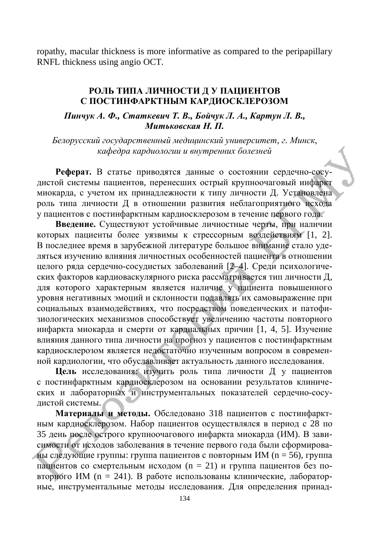## РОЛЬ ТИПА ЛИЧНОСТИ Д У ПАЦИЕНТОВ С ПОСТИНФАРКТНЫМ КАРДИОСКЛЕРОЗОМ

 $\Pi$ инчук А. Ф., Статкевич Т. В., Бойчук Л. А., Картун Л. В., *Muтьковская Н. П.* 

*Ȼɟɥɨɪɭɫɫɤɢɣɝɨɫɭɞɚɪɫɬɜɟɧɧɵɣɦɟɞɢɰɢɧɫɤɢɣɭɧɢɜɟɪɫɢɬɟɬ, ɝ. Ɇɢɧɫɤ,*  **кафедра кардиологии и внутренних болезней** 

Реферат. В статье приводятся данные о состоянии сердечно-сосудистой системы пациентов, перенесших острый крупноочаговый инфаркт миокарда, с учетом их принадлежности к типу личности Д. Установлена роль типа личности Д в отношении развития неблагоприятного исхода у пациентов с постинфарктным кардиосклерозом в течение первого года.

Введение. Существуют устойчивые личностные черты, при наличии которых пациенты более уязвимы к стрессорным воздействиям [1, 2]. В последнее время в зарубежной литературе большое внимание стало уделяться изучению влияния личностных особенностей пациента в отношении целого ряда сердечно-сосудистых заболеваний [2–4]. Среди психологических факторов кардиоваскулярного риска рассматривается тип личности Д, для которого характерным является наличие у пациента повышенного уровня негативных эмоций и склонности подавлять их самовыражение при социальных взаимодействиях, что посредством поведенческих и патофизиологических механизмов способствует увеличению частоты повторного инфаркта миокарда и смерти от кардиальных причин [1, 4, 5]. Изучение влияния данного типа личности на прогноз у пациентов с постинфарктным кардиосклерозом является недостаточно изученным вопросом в современной кардиологии, что обуславливает актуальность данного исследования.

**Цель** исследования: изучить роль типа личности Д у пациентов с постинфарктным кардиосклерозом на основании результатов клинических и лабораторных и инструментальных показателей сердечно-сосудистой системы.

Материалы и методы. Обследовано 318 пациентов с постинфарктным кардиосклерозом. Набор пациентов осуществлялся в период с 28 по 35 день после острого крупноочагового инфаркта миокарда (ИМ). В зависимости от исходов заболевания в течение первого года были сформированы следующие группы: группа пациентов с повторным ИМ (n = 56), группа пациентов со смертельным исходом (n = 21) и группа пациентов без повторного ИМ (n = 241). В работе использованы клинические, лабораторные, инструментальные методы исследования. Для определения принад-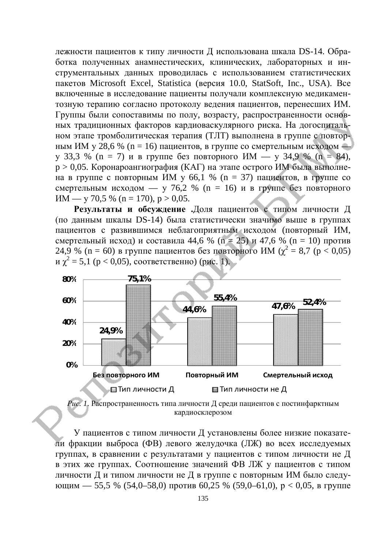лежности пациентов к типу личности Д использована шкала DS-14. Обработка полученных анамнестических, клинических, лабораторных и инструментальных данных проводилась с использованием статистических пакетов Microsoft Excel, Statistica (версия 10.0, StatSoft, Inc., USA). Все включенные в исследование пациенты получали комплексную медикаментозную терапию согласно протоколу ведения пациентов, перенесших ИМ. Группы были сопоставимы по полу, возрасту, распространенности основных традиционных факторов кардиоваскулярного риска. На догоспитальном этапе тромболитическая терапия (ТЛТ) выполнена в группе с повторным ИМ у 28,6 % (n = 16) пациентов, в группе со смертельным исходом – у 33,3 % (n = 7) и в группе без повторного ИМ — у 34,9 % (n = 84),  $p > 0.05$ . Коронароангиография (КАГ) на этапе острого ИМ была выполнена в группе с повторным ИМ у 66,1 % (n = 37) пациентов, в группе со смертельным исходом — у 76,2 % (n = 16) и в группе без повторного  $HM - y 70.5 % (n = 170), p > 0.05.$ 

Результаты и обсуждение .Доля пациентов с типом личности Д (по данным шкалы DS-14) была статистически значимо выше в группах пациентов с развившимся неблагоприятным исходом (повторный ИМ, смертельный исход) и составила 44,6 % (n = 25) и 47,6 % (n = 10) против 24,9 % (n = 60) в группе пациентов без повторного ИМ ( $\chi^2 = 8.7$  (р < 0,05)  $\alpha \chi^2 = 5.1$  (p < 0,05), соответственно) (рис. 1).





У пациентов с типом личности Д установлены более низкие показатели фракции выброса (ФВ) левого желудочка (ЛЖ) во всех исследуемых группах, в сравнении с результатами у пациентов с типом личности не Д в этих же группах. Соотношение значений ФВ ЛЖ у пациентов с типом личности Д и типом личности не Д в группе с повторным ИМ было следующим — 55,5 % (54,0–58,0) против 60,25 % (59,0–61,0),  $p < 0.05$ , в группе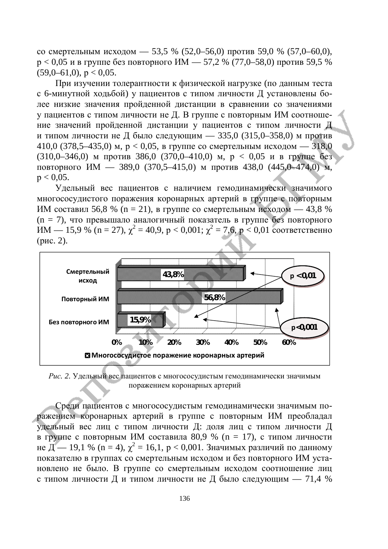$\alpha$  со смертельным исходом — 53,5 % (52,0–56,0) против 59,0 % (57,0–60,0),  $p < 0.05$  и в группе без повторного ИМ — 57,2 % (77,0–58,0) против 59,5 %  $(59,0–61,0)$ ,  $p < 0.05$ .

При изучении толерантности к физической нагрузке (по данным теста с 6-минутной ходьбой) у пациентов с типом личности Д установлены более низкие значения пройденной дистанции в сравнении со значениями у пациентов с типом личности не Д. В группе с повторным ИМ соотношение значений пройденной дистанции у пациентов с типом личности Д и типом личности не Д было следующим — 335,0 (315,0–358,0) м против 410,0 (378,5–435,0)  $\mu$ ,  $p < 0.05$ , в группе со смертельным исходом — 318,0  $(310,0-346,0)$  M  $\mu$   $\mu$   $(386,0 (370,0-410,0)$  M,  $p < 0.05$   $\mu$  B  $\mu$   $\mu$   $\mu$   $\sigma$   $\sigma$   $\sigma$ повторного ИМ — 389,0 (370,5–415,0) м против 438,0 (445,0–474,0) м,  $p < 0.05$ .

Удельный вес пациентов с наличием гемодинамически значимого многососудистого поражения коронарных артерий в группе с повторным ИМ составил 56,8 % (n = 21), в группе со смертельным исходом — 43,8 % (n = 7), что превышало аналогичный показатель в группе без повторного  $HM - 15.9 \%$  (n = 27),  $\chi^2 = 40.9$ , p < 0,001;  $\chi^2 = 7.6$ , p < 0,01 соответственно  $(pnc. 2)$ .



Рис. 2. Удельный вес пациентов с многососудистым гемодинамически значимым поражением коронарных артерий

Среди пациентов с многососудистым гемодинамически значимым поражением коронарных артерий в группе с повторным ИМ преобладал удельный вес лиц с типом личности Д: доля лиц с типом личности Д в группе с повторным ИМ составила 80,9 % (n = 17), с типом личности не  $\overline{A}$  — 19,1 % (n = 4),  $\chi^2$  = 16,1, p < 0,001. Значимых различий по данному показателю в группах со смертельным исходом и без повторного ИМ установлено не было. В группе со смертельным исходом соотношение лиц с типом личности Д и типом личности не Д было следующим — 71,4 %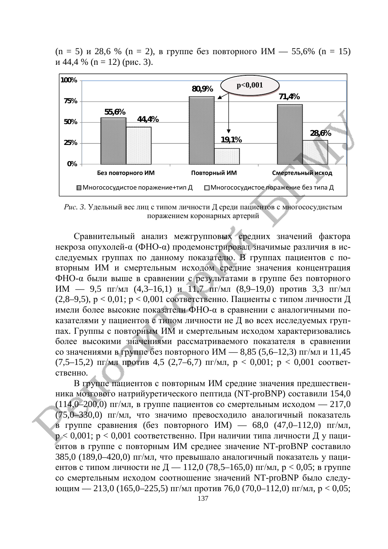

 $(n = 5)$  и 28,6 %  $(n = 2)$ , в группе без повторного ИМ — 55,6%  $(n = 15)$  $H$  44,4 % (n = 12) (pHc, 3).

Рис. 3. Удельный вес лиц с типом личности Д среди пациентов с многососудистым поражением коронарных артерий

Сравнительный анализ межгрупповых средних значений фактора некроза опухолей- $\alpha$  (ФНО- $\alpha$ ) продемонстрировал значимые различия в исследуемых группах по данному показателю. В группах пациентов с повторным ИМ и смертельным исходом средние значения концентрация ФНО-α были выше в сравнении с результатами в группе без повторного ИМ — 9,5 пг/мл (4,3–16,1) и 11,7 пг/мл (8,9–19,0) против 3,3 пг/мл (2,8–9,5),  $p < 0.01$ ;  $p < 0.001$  соответственно. Пациенты с типом личности Д имели более высокие показатели ФНО-а в сравнении с аналогичными показателями у пациентов с типом личности не Д во всех исследуемых группах. Группы с повторным ИМ и смертельным исходом характеризовались более высокими значениями рассматриваемого показателя в сравнении со значениями в группе без повторного ИМ  $- 8,85$  (5,6–12,3) пг/мл и 11,45 (7,5–15,2)  $\pi$ <sub>M</sub>  $\pi$   $\pi$   $\pi$   $\pi$  4,5 (2,7–6,7)  $\pi$ <sup> $\pi$ </sup> $\pi$ ,  $p < 0,001$ ;  $p < 0,001$  coorderственно.

В группе пациентов с повторным ИМ средние значения предшественника мозгового натрийуретического пептида (NT-proBNP) составили 154,0 (114,0–200,0) пг/мл, в группе пациентов со смертельным исходом — 217,0 (75,0–330,0) пг/мл, что значимо превосходило аналогичный показатель в группе сравнения (без повторного ИМ) — 68,0 (47,0–112,0) пг/мл,  $p < 0.001$ ;  $p < 0.001$  соответственно. При наличии типа личности Д у пациентов в группе с повторным ИМ среднее значение NT-proBNP составило 385,0 (189,0–420,0) пг/мл, что превышало аналогичный показатель у пациентов с типом личности не  $\overline{A}$  — 112,0 (78,5–165,0) пг/мл,  $p < 0.05$ ; в группе со смертельным исходом соотношение значений NT-proBNP было следующим — 213,0 (165,0–225,5) пг/мл против 76,0 (70,0–112,0) пг/мл,  $p < 0.05$ ;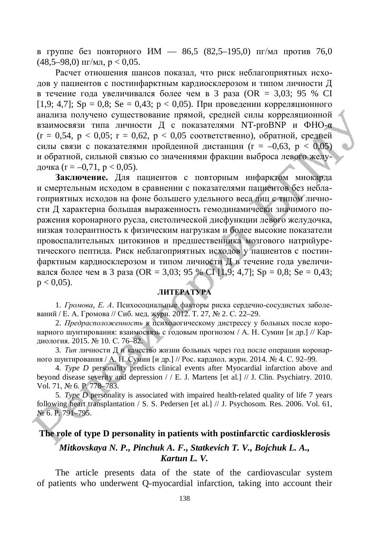в группе без повторного ИМ — 86,5 (82,5–195,0) пг/мл против 76,0  $(48.5-98.0)$   $\text{III/MJ}$ ,  $p < 0.05$ .

Расчет отношения шансов показал, что риск неблагоприятных исходов у пациентов с постинфарктным кардиосклерозом и типом личности Д в течение года увеличивался более чем в 3 раза (OR = 3,03; 95 % CI [1,9; 4,7]; Sp = 0,8; Se = 0,43; p < 0,05). При проведении корреляционного анализа получено существование прямой, средней силы корреляционной взаимосвязи типа личности Д с показателями NT-proBNP и ФНО-α  $(r = 0.54, p < 0.05; r = 0.62, p < 0.05$  соответственно), обратной, средней силы связи с показателями пройденной дистанции ( $r = -0.63$ ,  $p < 0.05$ ) и обратной, сильной связью со значениями фракции выброса левого желудочка (r = -0,71, p < 0,05).

Заключение. Для пациентов с повторным инфарктом миокарда и смертельным исходом в сравнении с показателями пациентов без неблагоприятных исходов на фоне большего удельного веса лиц с типом личности Д характерна большая выраженность гемодинамически значимого поражения коронарного русла, систолической дисфункции левого желудочка, низкая толерантность к физическим нагрузкам и более высокие показатели провоспалительных цитокинов и предшественника мозгового натрийуретического пептида. Риск неблагоприятных исходов у пациентов с постинфарктным кардиосклерозом и типом личности Д в течение года увеличивался более чем в 3 раза (OR = 3,03; 95 % CI [1,9; 4,7]; Sp = 0,8; Se = 0,43;  $p < 0.05$ ).

## **JIHTEPATYPA**

1. *Громова*, *Е. А.* Психосоциальные факторы риска сердечно-сосудистых заболеваний / Е. А. Громова // Сиб. мед. журн. 2012. Т. 27, № 2. С. 22–29.

2. *Предрасположенность* к психологическому дистрессу у больных после коронарного шунтирования: взаимосвязь с годовым прогнозом / А. Н. Сумин [и др.] // Кардиология. 2015. № 10. С. 76–82.

3. *Тип* личности Д и качество жизни больных через год после операции коронарного шунтирования / А. Н. Сумин [и др.] // Рос. кардиол. журн. 2014. № 4. С. 92–99.

4. *Type D* personality predicts clinical events after Myocardial infarction above and beyond disease severity and depression / / E. J. Martens [et al.] // J. Clin. Psychiatry. 2010. Vol. 71, № 6. P. 778–783.

5. *Type D* personality is associated with impaired health-related quality of life 7 years following heart transplantation / S. S. Pedersen [et al.] // J. Psychosom. Res. 2006. Vol. 61, No 6. P. 791–795.

## **The role of type D personality in patients with postinfarctic cardiosklerosis**

## *Mitkovskaya N. P., Pinchuk A. F., Statkevich T. V., Bojchuk L. A., Kartun L. V.*

The article presents data of the state of the cardiovascular system of patients who underwent Q-myocardial infarction, taking into account their